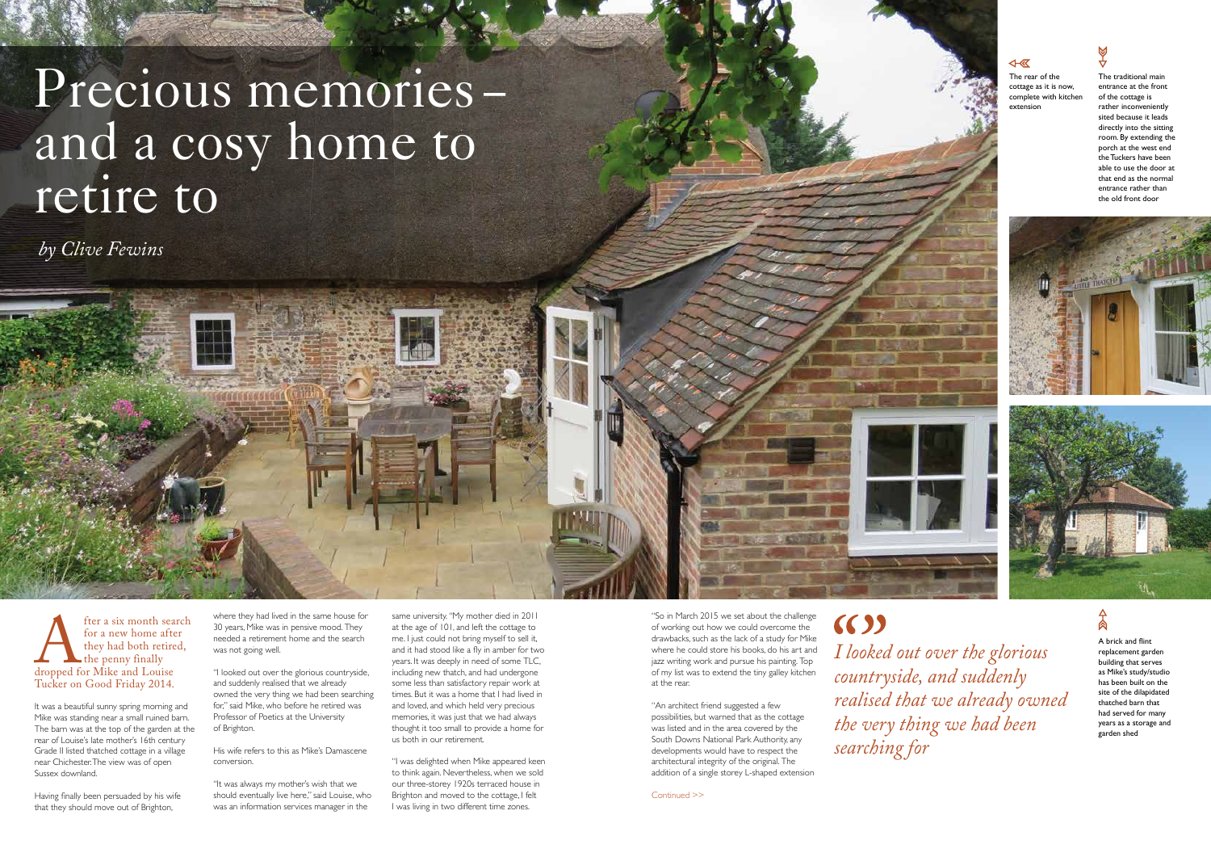ter a six month search<br>for a new home after<br>they had both retired,<br>the penny finally<br>dropped for Mike and Louise<br>Tucker on Good Friday 2014. for a new home after they had both retired, the penny finally dropped for Mike and Louise Tucker on Good Friday 2014.

It was a beautiful sunny spring morning and Mike was standing near a small ruined barn. The barn was at the top of the garden at the rear of Louise's late mother's 16th century Grade II listed thatched cottage in a village near Chichester. The view was of open Sussex downland.

Having finally been persuaded by his wife that they should move out of Brighton,

where they had lived in the same house for 30 years, Mike was in pensive mood. They needed a retirement home and the search was not going well.

"I looked out over the glorious countryside, and suddenly realised that we already owned the very thing we had been searching for," said Mike, who before he retired was Professor of Poetics at the University of Brighton.

#### His wife refers to this as Mike's Damascene conversion.

# Precious memories –<br>and a cosy home to retire to

"It was always my mother's wish that we should eventually live here," said Louise, who was an information services manager in the

Continued >>

The rear of the cottage as it is now, complete with kitchen extension



same university. "My mother died in 2011 at the age of 101, and left the cottage to me. I just could not bring myself to sell it, and it had stood like a fly in amber for two years. It was deeply in need of some TLC, including new thatch, and had undergone some less than satisfactory repair work at times. But it was a home that I had lived in and loved, and which held very precious memories, it was just that we had always thought it too small to provide a home for us both in our retirement.

 $(3)$ *searching for*



## $\overline{\leftarrow}$

"I was delighted when Mike appeared keen to think again. Nevertheless, when we sold our three-storey 1920s terraced house in Brighton and moved to the cottage, I felt I was living in two different time zones.

"So in March 2015 we set about the challenge of working out how we could overcome the drawbacks, such as the lack of a study for Mike where he could store his books, do his art and jazz writing work and pursue his painting. Top of my list was to extend the tiny galley kitchen at the rear.

"An architect friend suggested a few possibilities, but warned that as the cottage was listed and in the area covered by the South Downs National Park Authority, any developments would have to respect the architectural integrity of the original. The addition of a single storey L-shaped extension A brick and flint replacement garden building that serves as Mike's study/studio has been built on the site of the dilapidated thatched barn that had served for many years as a storage and garden shed

*by Clive Fewins*

*I looked out over the glorious countryside, and suddenly realised that we already owned the very thing we had been* 



The traditional main entrance at the front of the cottage is rather inconveniently sited because it leads directly into the sitting room. By extending the porch at the west end the Tuckers have been able to use the door at that end as the normal entrance rather than the old front door



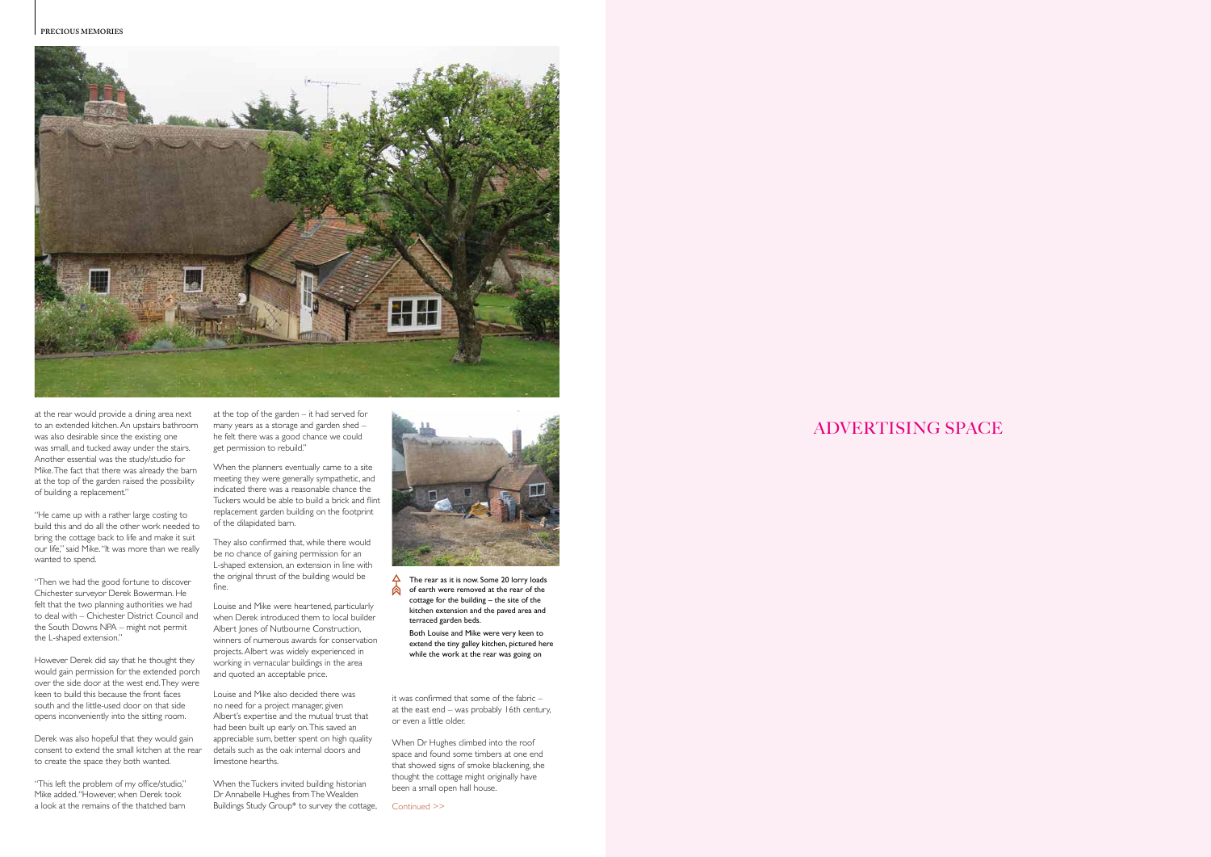

# ADVERTISING SPACE

- $\overrightarrow{P}$  The rear as it is now. Some 20 lorry loads  $\bigotimes$  of earth were removed at the rear of the cottage for the building – the site of the kitchen extension and the paved area and terraced garden beds.
	- Both Louise and Mike were very keen to extend the tiny galley kitchen, pictured here while the work at the rear was going on

at the rear would provide a dining area next to an extended kitchen. An upstairs bathroom was also desirable since the existing one was small, and tucked away under the stairs. Another essential was the study/studio for Mike. The fact that there was already the barn at the top of the garden raised the possibility of building a replacement."

"He came up with a rather large costing to build this and do all the other work needed to bring the cottage back to life and make it suit our life," said Mike. "It was more than we really wanted to spend.

"Then we had the good fortune to discover Chichester surveyor Derek Bowerman. He felt that the two planning authorities we had to deal with – Chichester District Council and the South Downs NPA – might not permit the L-shaped extension."

However Derek did say that he thought they would gain permission for the extended porch over the side door at the west end. They were keen to build this because the front faces south and the little-used door on that side opens inconveniently into the sitting room.

> When the Tuckers invited building historian Dr Annabelle Hughes from The Wealden Buildings Study Group<sup>\*</sup> to survey the cottage,



Derek was also hopeful that they would gain consent to extend the small kitchen at the rear to create the space they both wanted.

"This left the problem of my office/studio," Mike added. "However, when Derek took a look at the remains of the thatched barn

at the top of the garden – it had served for many years as a storage and garden shed – he felt there was a good chance we could get permission to rebuild."

When the planners eventually came to a site meeting they were generally sympathetic, and indicated there was a reasonable chance the Tuckers would be able to build a brick and flint replacement garden building on the footprint of the dilapidated barn.

They also confirmed that, while there would be no chance of gaining permission for an L-shaped extension, an extension in line with the original thrust of the building would be fine.

Louise and Mike were heartened, particularly when Derek introduced them to local builder Albert Jones of Nutbourne Construction, winners of numerous awards for conservation projects. Albert was widely experienced in working in vernacular buildings in the area and quoted an acceptable price.

Louise and Mike also decided there was no need for a project manager, given Albert's expertise and the mutual trust that had been built up early on. This saved an appreciable sum, better spent on high quality details such as the oak internal doors and limestone hearths.

it was confirmed that some of the fabric – at the east end – was probably 16th century, or even a little older.

When Dr Hughes climbed into the roof space and found some timbers at one end that showed signs of smoke blackening, she thought the cottage might originally have been a small open hall house.

Continued >>